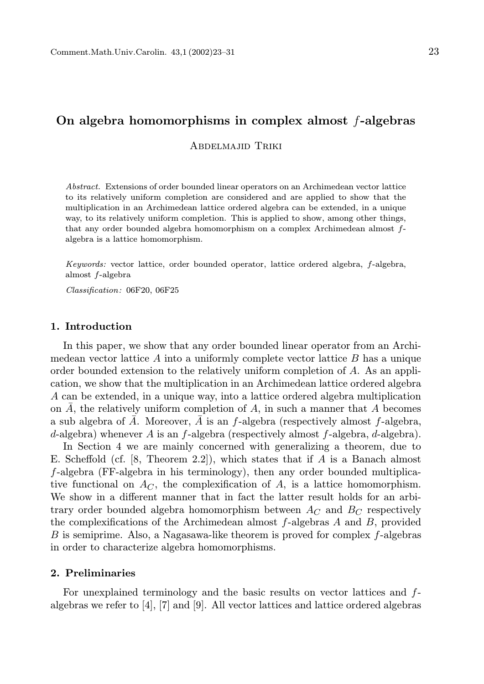# On algebra homomorphisms in complex almost  $f$ -algebras

Abdelmajid Triki

Abstract. Extensions of order bounded linear operators on an Archimedean vector lattice to its relatively uniform completion are considered and are applied to show that the multiplication in an Archimedean lattice ordered algebra can be extended, in a unique way, to its relatively uniform completion. This is applied to show, among other things, that any order bounded algebra homomorphism on a complex Archimedean almost falgebra is a lattice homomorphism.

Keywords: vector lattice, order bounded operator, lattice ordered algebra, f-algebra, almost f-algebra

Classification: 06F20, 06F25

## 1. Introduction

In this paper, we show that any order bounded linear operator from an Archimedean vector lattice  $A$  into a uniformly complete vector lattice  $B$  has a unique order bounded extension to the relatively uniform completion of A. As an application, we show that the multiplication in an Archimedean lattice ordered algebra A can be extended, in a unique way, into a lattice ordered algebra multiplication on A, the relatively uniform completion of A, in such a manner that A becomes a sub algebra of  $\overline{A}$ . Moreover,  $\overline{A}$  is an f-algebra (respectively almost f-algebra, d-algebra) whenever A is an  $f$ -algebra (respectively almost  $f$ -algebra,  $d$ -algebra).

In Section 4 we are mainly concerned with generalizing a theorem, due to E. Scheffold (cf.  $[8,$  Theorem 2.2]), which states that if A is a Banach almost f-algebra (FF-algebra in his terminology), then any order bounded multiplicative functional on  $A_C$ , the complexification of A, is a lattice homomorphism. We show in a different manner that in fact the latter result holds for an arbitrary order bounded algebra homomorphism between  $A_C$  and  $B_C$  respectively the complexifications of the Archimedean almost  $f$ -algebras  $A$  and  $B$ , provided B is semiprime. Also, a Nagasawa-like theorem is proved for complex  $f$ -algebras in order to characterize algebra homomorphisms.

# 2. Preliminaries

For unexplained terminology and the basic results on vector lattices and falgebras we refer to  $[4]$ ,  $[7]$  and  $[9]$ . All vector lattices and lattice ordered algebras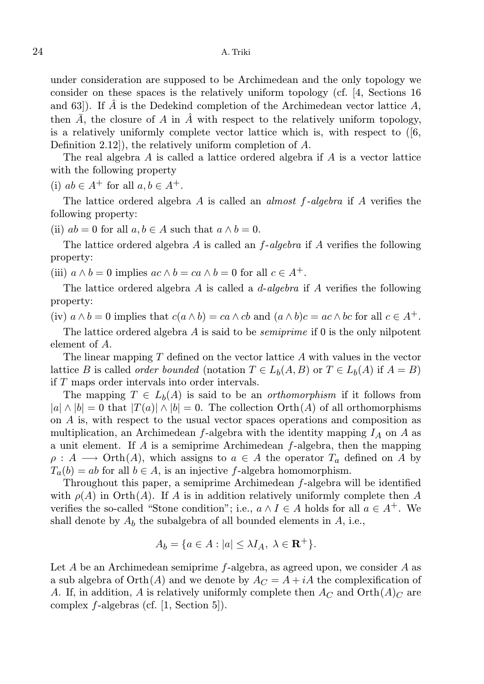under consideration are supposed to be Archimedean and the only topology we consider on these spaces is the relatively uniform topology (cf. [4, Sections 16 and 63]). If  $\tilde{A}$  is the Dedekind completion of the Archimedean vector lattice  $A$ , then  $\overline{A}$ , the closure of A in  $\overline{A}$  with respect to the relatively uniform topology, is a relatively uniformly complete vector lattice which is, with respect to  $(6, 6)$ Definition 2.12]), the relatively uniform completion of A.

The real algebra A is called a lattice ordered algebra if A is a vector lattice with the following property

(i)  $ab \in A^+$  for all  $a, b \in A^+$ .

The lattice ordered algebra  $A$  is called an *almost f-algebra* if  $A$  verifies the following property:

(ii)  $ab = 0$  for all  $a, b \in A$  such that  $a \wedge b = 0$ .

The lattice ordered algebra A is called an  $f$ -algebra if A verifies the following property:

(iii)  $a \wedge b = 0$  implies  $ac \wedge b = ca \wedge b = 0$  for all  $c \in A^+$ .

The lattice ordered algebra A is called a  $d$ -algebra if A verifies the following property:

(iv)  $a \wedge b = 0$  implies that  $c(a \wedge b) = ca \wedge cb$  and  $(a \wedge b)c = ac \wedge bc$  for all  $c \in A^+$ .

The lattice ordered algebra A is said to be *semiprime* if 0 is the only nilpotent element of A.

The linear mapping T defined on the vector lattice A with values in the vector lattice B is called *order bounded* (notation  $T \in L_b(A, B)$  or  $T \in L_b(A)$  if  $A = B$ ) if T maps order intervals into order intervals.

The mapping  $T \in L_b(A)$  is said to be an *orthomorphism* if it follows from  $|a| \wedge |b| = 0$  that  $|T(a)| \wedge |b| = 0$ . The collection  $\mathrm{Orth}(A)$  of all orthomorphisms on A is, with respect to the usual vector spaces operations and composition as multiplication, an Archimedean f-algebra with the identity mapping  $I_A$  on A as a unit element. If  $A$  is a semiprime Archimedean  $f$ -algebra, then the mapping  $\rho: A \longrightarrow \text{Orth}(A)$ , which assigns to  $a \in A$  the operator  $T_a$  defined on A by  $T_a(b) = ab$  for all  $b \in A$ , is an injective f-algebra homomorphism.

Throughout this paper, a semiprime Archimedean  $f$ -algebra will be identified with  $\rho(A)$  in Orth $(A)$ . If A is in addition relatively uniformly complete then A verifies the so-called "Stone condition"; i.e.,  $a \wedge I \in A$  holds for all  $a \in A^+$ . We shall denote by  $A_b$  the subalgebra of all bounded elements in  $A$ , i.e.,

$$
A_b = \{a \in A : |a| \le \lambda I_A, \ \lambda \in \mathbf{R}^+\}.
$$

Let A be an Archimedean semiprime f-algebra, as agreed upon, we consider A as a sub algebra of  $Orth(A)$  and we denote by  $A<sub>C</sub> = A + iA$  the complexification of A. If, in addition, A is relatively uniformly complete then  $A_C$  and  $Orth(A)_C$  are complex f-algebras (cf. [1, Section 5]).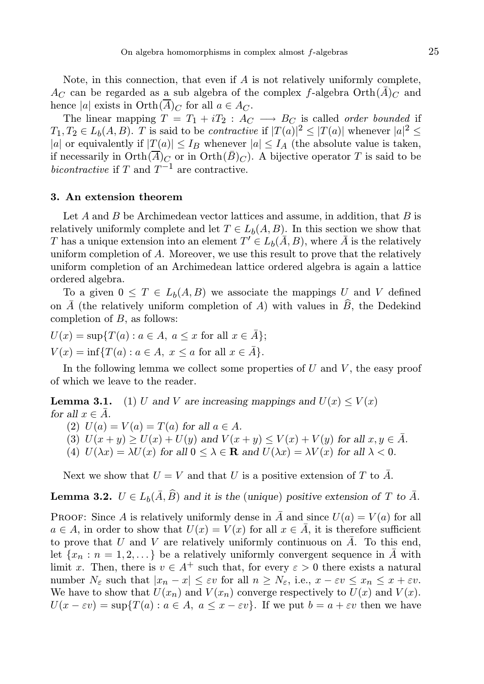Note, in this connection, that even if  $A$  is not relatively uniformly complete,  $A_C$  can be regarded as a sub algebra of the complex f-algebra  $\mathrm{Orth}(\overline{A})_C$  and hence |a| exists in  $Orth(\overline{A})_C$  for all  $a \in A_C$ .

The linear mapping  $T = T_1 + iT_2 : A_C \longrightarrow B_C$  is called *order bounded* if  $T_1, T_2 \in L_b(A, B)$ . T is said to be *contractive* if  $|T(a)|^2 \leq |T(a)|$  whenever  $|a|^2 \leq$ |a| or equivalently if  $|T(a)| \leq I_B$  whenever  $|a| \leq I_A$  (the absolute value is taken, if necessarily in  $\mathrm{Orth}(\overline{A})_C$  or in  $\mathrm{Orth}(\overline{B})_C$ . A bijective operator T is said to be bicontractive if T and  $T^{-1}$  are contractive.

# 3. An extension theorem

Let  $A$  and  $B$  be Archimedean vector lattices and assume, in addition, that  $B$  is relatively uniformly complete and let  $T \in L_b(A, B)$ . In this section we show that T has a unique extension into an element  $T' \in L_b(\overline{A}, B)$ , where  $\overline{A}$  is the relatively uniform completion of A. Moreover, we use this result to prove that the relatively uniform completion of an Archimedean lattice ordered algebra is again a lattice ordered algebra.

To a given  $0 \leq T \in L_b(A, B)$  we associate the mappings U and V defined on  $\overline{A}$  (the relatively uniform completion of A) with values in  $\widehat{B}$ , the Dedekind completion of  $B$ , as follows:

$$
U(x) = \sup\{T(a) : a \in A, a \le x \text{ for all } x \in \overline{A}\};
$$
  

$$
V(x) = \inf\{T(a) : a \in A, x \le a \text{ for all } x \in \overline{A}\}.
$$

In the following lemma we collect some properties of  $U$  and  $V$ , the easy proof of which we leave to the reader.

**Lemma 3.1.** (1) U and V are increasing mappings and  $U(x) \leq V(x)$ for all  $x \in A$ .

(2)  $U(a) = V(a) = T(a)$  for all  $a \in A$ .

- (3)  $U(x + y) \ge U(x) + U(y)$  and  $V(x + y) \le V(x) + V(y)$  for all  $x, y \in \overline{A}$ .
- (4)  $U(\lambda x) = \lambda U(x)$  for all  $0 \leq \lambda \in \mathbf{R}$  and  $U(\lambda x) = \lambda V(x)$  for all  $\lambda < 0$ .

Next we show that  $U = V$  and that U is a positive extension of T to  $\overline{A}$ .

**Lemma 3.2.**  $U \in L_b(\overline{A}, \widehat{B})$  and it is the (unique) positive extension of T to  $\overline{A}$ .

PROOF: Since A is relatively uniformly dense in  $\overline{A}$  and since  $U(a) = V(a)$  for all  $a \in A$ , in order to show that  $U(x) = V(x)$  for all  $x \in \overline{A}$ , it is therefore sufficient to prove that U and V are relatively uniformly continuous on  $\overline{A}$ . To this end, let  $\{x_n : n = 1, 2, \ldots\}$  be a relatively uniformly convergent sequence in A with limit x. Then, there is  $v \in A^+$  such that, for every  $\varepsilon > 0$  there exists a natural number  $N_{\varepsilon}$  such that  $|x_n - x| \leq \varepsilon v$  for all  $n \geq N_{\varepsilon}$ , i.e.,  $x - \varepsilon v \leq x_n \leq x + \varepsilon v$ . We have to show that  $U(x_n)$  and  $V(x_n)$  converge respectively to  $U(x)$  and  $V(x)$ .  $U(x - \varepsilon y) = \sup\{T(a) : a \in A, a \leq x - \varepsilon y\}.$  If we put  $b = a + \varepsilon y$  then we have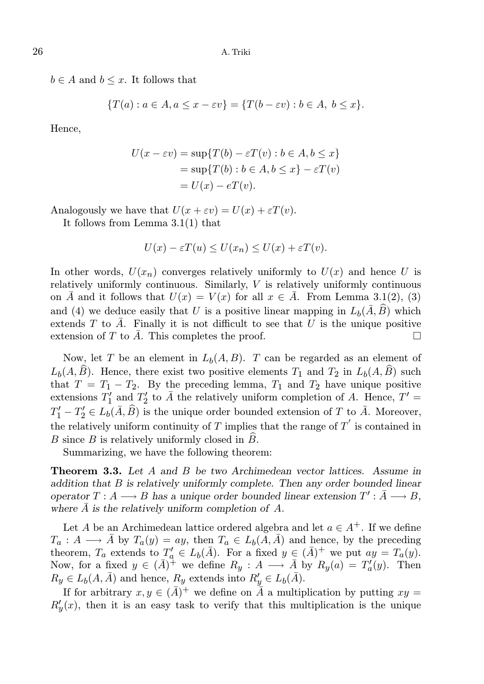$b \in A$  and  $b \leq x$ . It follows that

$$
\{T(a): a \in A, a \le x - \varepsilon v\} = \{T(b - \varepsilon v): b \in A, b \le x\}.
$$

Hence,

$$
U(x - \varepsilon v) = \sup \{ T(b) - \varepsilon T(v) : b \in A, b \le x \}
$$
  
= 
$$
\sup \{ T(b) : b \in A, b \le x \} - \varepsilon T(v)
$$
  
= 
$$
U(x) - eT(v).
$$

Analogously we have that  $U(x + \varepsilon v) = U(x) + \varepsilon T(v)$ .

It follows from Lemma 3.1(1) that

$$
U(x) - \varepsilon T(u) \le U(x_n) \le U(x) + \varepsilon T(v).
$$

In other words,  $U(x_n)$  converges relatively uniformly to  $U(x)$  and hence U is relatively uniformly continuous. Similarly, V is relatively uniformly continuous on  $\overline{A}$  and it follows that  $U(x) = V(x)$  for all  $x \in \overline{A}$ . From Lemma 3.1(2), (3) and (4) we deduce easily that U is a positive linear mapping in  $L_b(\bar{A}, \widehat{B})$  which extends T to  $\overline{A}$ . Finally it is not difficult to see that U is the unique positive extension of T to  $\overline{A}$ . This completes the proof.

Now, let T be an element in  $L_b(A, B)$ . T can be regarded as an element of  $L_b(A, \hat{B})$ . Hence, there exist two positive elements  $T_1$  and  $T_2$  in  $L_b(A, \hat{B})$  such that  $T = T_1 - T_2$ . By the preceding lemma,  $T_1$  and  $T_2$  have unique positive extensions  $T_1'$  $T'_1$  and  $T'_2$  $\overline{A}$ <sup>'</sup> to  $\overline{A}$  the relatively uniform completion of A. Hence,  $T' =$  $T'_1 - T'_2 \in L_b(\bar{A}, \widehat{B})$  is the unique order bounded extension of T to  $\bar{A}$ . Moreover, the relatively uniform continuity of T implies that the range of  $T'$  is contained in B since  $B$  is relatively uniformly closed in  $B$ .

Summarizing, we have the following theorem:

Theorem 3.3. Let A and B be two Archimedean vector lattices. Assume in addition that B is relatively uniformly complete. Then any order bounded linear operator  $T : A \longrightarrow B$  has a unique order bounded linear extension  $T' : \overline{A} \longrightarrow B$ , where  $\overline{A}$  is the relatively uniform completion of A.

Let A be an Archimedean lattice ordered algebra and let  $a \in A^+$ . If we define  $T_a: A \longrightarrow \overline{A}$  by  $T_a(y) = ay$ , then  $T_a \in L_b(A, \overline{A})$  and hence, by the preceding theorem,  $T_a$  extends to  $T'_a \in L_b(\bar{A})$ . For a fixed  $y \in (\bar{A})^+$  we put  $ay = T_a(y)$ . Now, for a fixed  $y \in (\bar{A})^+$  we define  $R_y : A \longrightarrow \bar{A}$  by  $R_y(a) = T'_a(y)$ . Then  $R_y \in L_b(A, \bar{A})$  and hence,  $R_y$  extends into  $R'_y \in L_b(\bar{A})$ .

If for arbitrary  $x, y \in (\bar{A})^+$  we define on  $\bar{A}$  a multiplication by putting  $xy =$  $R'_{y}(x)$ , then it is an easy task to verify that this multiplication is the unique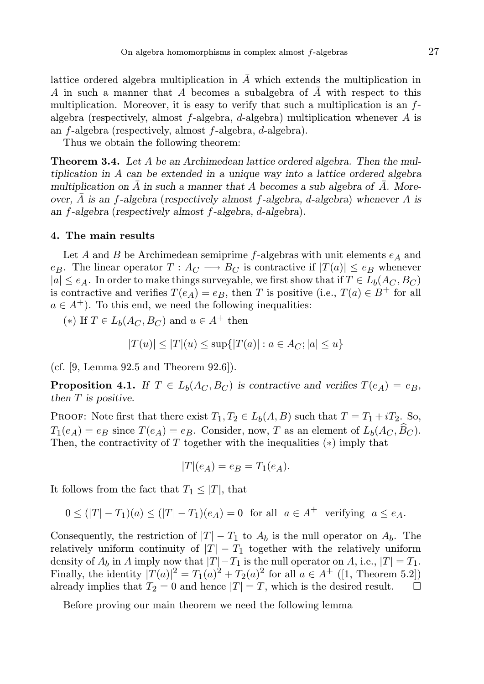lattice ordered algebra multiplication in  $\overline{A}$  which extends the multiplication in A in such a manner that A becomes a subalgebra of  $\overline{A}$  with respect to this multiplication. Moreover, it is easy to verify that such a multiplication is an  $f$ algebra (respectively, almost  $f$ -algebra,  $d$ -algebra) multiplication whenever  $A$  is an f-algebra (respectively, almost f-algebra, d-algebra).

Thus we obtain the following theorem:

Theorem 3.4. Let A be an Archimedean lattice ordered algebra. Then the multiplication in A can be extended in a unique way into a lattice ordered algebra multiplication on  $\bar{A}$  in such a manner that A becomes a sub algebra of  $\bar{A}$ . Moreover,  $\bar{A}$  is an f-algebra (respectively almost f-algebra, d-algebra) whenever A is an f-algebra (respectively almost f-algebra, d-algebra).

#### 4. The main results

Let A and B be Archimedean semiprime f-algebras with unit elements  $e_A$  and e<sub>B</sub>. The linear operator  $T : A_C \longrightarrow B_C$  is contractive if  $|T(a)| \leq e_B$  whenever  $|a| \leq e_A$ . In order to make things surveyable, we first show that if  $T \in L_b(A_C, B_C)$ is contractive and verifies  $T(e_A) = e_B$ , then T is positive (i.e.,  $T(a) \in B^+$  for all  $a \in A^+$ ). To this end, we need the following inequalities:

(\*) If  $T \in L_b(A_C, B_C)$  and  $u \in A^+$  then

$$
|T(u)| \le |T|(u) \le \sup\{|T(a)| : a \in A_C; |a| \le u\}
$$

(cf. [9, Lemma 92.5 and Theorem 92.6]).

**Proposition 4.1.** If  $T \in L_b(A_C, B_C)$  is contractive and verifies  $T(e_A) = e_B$ , then T is positive.

PROOF: Note first that there exist  $T_1, T_2 \in L_b(A, B)$  such that  $T = T_1 + iT_2$ . So,  $T_1(e_A) = e_B$  since  $T(e_A) = e_B$ . Consider, now, T as an element of  $L_b(A_C, \widehat{B}_C)$ . Then, the contractivity of  $T$  together with the inequalities  $(*)$  imply that

$$
|T|(e_A) = e_B = T_1(e_A).
$$

It follows from the fact that  $T_1 \leq |T|$ , that

$$
0 \le (|T| - T_1)(a) \le (|T| - T_1)(e_A) = 0 \quad \text{for all} \quad a \in A^+ \quad \text{verifying} \quad a \le e_A.
$$

Consequently, the restriction of  $|T| - T_1$  to  $A_b$  is the null operator on  $A_b$ . The relatively uniform continuity of  $|T| - T_1$  together with the relatively uniform density of  $A_b$  in A imply now that  $|T|-T_1$  is the null operator on A, i.e.,  $|T|=T_1$ . Finally, the identity  $|T(a)|^2 = T_1(a)^2 + T_2(a)^2$  for all  $a \in A^+$  ([1, Theorem 5.2]) already implies that  $T_2 = 0$  and hence  $|T| = T$ , which is the desired result.  $\Box$ 

Before proving our main theorem we need the following lemma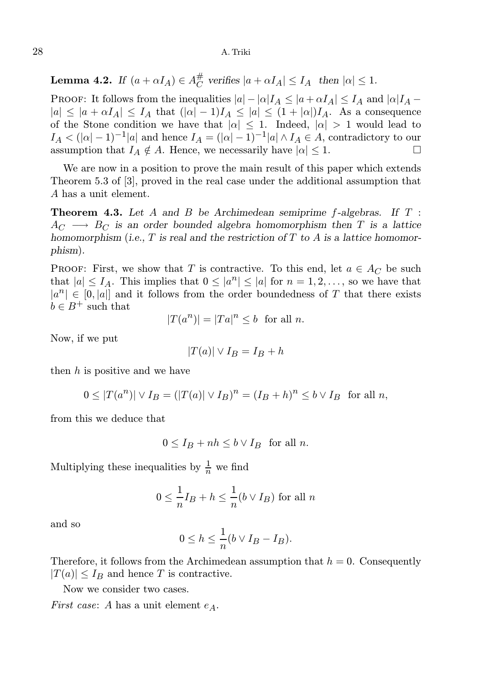## 28 A. Triki

**Lemma 4.2.** If  $(a + \alpha I_A) \in A_C^{\#}$  $\overline{C}$  verifies  $|a + \alpha I_A| \leq I_A$  then  $|\alpha| \leq 1$ .

PROOF: It follows from the inequalities  $|a| - |\alpha| I_A \leq |a + \alpha I_A| \leq I_A$  and  $|\alpha| I_A$  $|a| \leq |a + \alpha I_A| \leq I_A$  that  $(|\alpha| - 1)I_A \leq |a| \leq (1 + |\alpha|)I_A$ . As a consequence of the Stone condition we have that  $|\alpha| \leq 1$ . Indeed,  $|\alpha| > 1$  would lead to  $I_A < (|\alpha|-1)^{-1}|\alpha|$  and hence  $I_A = (|\alpha|-1)^{-1}|\alpha| \wedge I_A \in A$ , contradictory to our assumption that  $I_A \notin A$ . Hence, we necessarily have  $|\alpha| \leq 1$ .

We are now in a position to prove the main result of this paper which extends Theorem 5.3 of [3], proved in the real case under the additional assumption that A has a unit element.

**Theorem 4.3.** Let  $A$  and  $B$  be Archimedean semiprime  $f$ -algebras. If  $T$ :  $A_C \longrightarrow B_C$  is an order bounded algebra homomorphism then T is a lattice homomorphism (i.e.,  $T$  is real and the restriction of  $T$  to  $A$  is a lattice homomorphism).

**PROOF:** First, we show that T is contractive. To this end, let  $a \in A_C$  be such that  $|a| \leq I_A$ . This implies that  $0 \leq |a^n| \leq |a|$  for  $n = 1, 2, \ldots$ , so we have that  $|a^n| \in [0, |a|]$  and it follows from the order boundedness of T that there exists  $b \in B^+$  such that

$$
|T(a^n)| = |Ta|^n \le b \text{ for all } n.
$$

Now, if we put

$$
|T(a)| \vee I_B = I_B + h
$$

then  $h$  is positive and we have

$$
0 \le |T(a^n)| \vee I_B = (|T(a)| \vee I_B)^n = (I_B + h)^n \le b \vee I_B \text{ for all } n,
$$

from this we deduce that

$$
0 \le I_B + nh \le b \vee I_B \quad \text{for all } n.
$$

Multiplying these inequalities by  $\frac{1}{n}$  we find

$$
0 \le \frac{1}{n}I_B + h \le \frac{1}{n}(b \vee I_B)
$$
 for all *n*

and so

$$
0 \le h \le \frac{1}{n} (b \vee I_B - I_B).
$$

Therefore, it follows from the Archimedean assumption that  $h = 0$ . Consequently  $|T(a)| \leq I_B$  and hence T is contractive.

Now we consider two cases.

*First case:* A has a unit element  $e_A$ .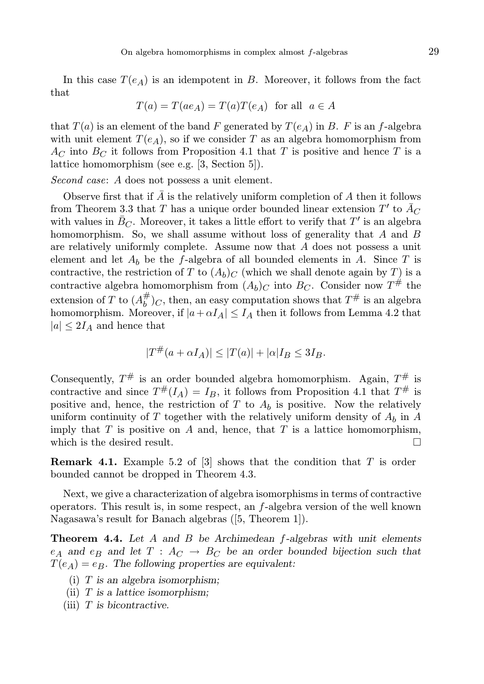In this case  $T(e_A)$  is an idempotent in B. Moreover, it follows from the fact that

$$
T(a) = T(ae_A) = T(a)T(e_A) \text{ for all } a \in A
$$

that  $T(a)$  is an element of the band F generated by  $T(e_A)$  in B. F is an f-algebra with unit element  $T(e_A)$ , so if we consider T as an algebra homomorphism from  $A<sub>C</sub>$  into  $B<sub>C</sub>$  it follows from Proposition 4.1 that T is positive and hence T is a lattice homomorphism (see e.g. [3, Section 5]).

Second case: A does not possess a unit element.

Observe first that if  $\overline{A}$  is the relatively uniform completion of A then it follows from Theorem 3.3 that T has a unique order bounded linear extension  $T'$  to  $\overline{A}_C$ with values in  $\overline{B}_C$ . Moreover, it takes a little effort to verify that T' is an algebra homomorphism. So, we shall assume without loss of generality that A and B are relatively uniformly complete. Assume now that A does not possess a unit element and let  $A_b$  be the f-algebra of all bounded elements in A. Since T is contractive, the restriction of T to  $(A_b)_C$  (which we shall denote again by T) is a contractive algebra homomorphism from  $(A_b)_C$  into  $B_C$ . Consider now  $T^{\#}$  the extension of T to  $(A_h^{\#})$  $\partial_b^{\#}$ )<sub>*C*</sub>, then, an easy computation shows that  $T^{\#}$  is an algebra homomorphism. Moreover, if  $|a+\alpha I_A| \leq I_A$  then it follows from Lemma 4.2 that  $|a| \leq 2I_A$  and hence that

$$
|T^{\#}(a+\alpha I_A)| \le |T(a)|+|\alpha|I_B \le 3I_B.
$$

Consequently,  $T^{\#}$  is an order bounded algebra homomorphism. Again,  $T^{\#}$  is contractive and since  $T^{\#}(I_A) = I_B$ , it follows from Proposition 4.1 that  $T^{\#}$  is positive and, hence, the restriction of  $T$  to  $A_b$  is positive. Now the relatively uniform continuity of  $T$  together with the relatively uniform density of  $A_b$  in  $A$ imply that  $T$  is positive on  $A$  and, hence, that  $T$  is a lattice homomorphism, which is the desired result.  $\Box$ 

**Remark 4.1.** Example 5.2 of  $\begin{bmatrix} 3 \end{bmatrix}$  shows that the condition that T is order bounded cannot be dropped in Theorem 4.3.

Next, we give a characterization of algebra isomorphisms in terms of contractive operators. This result is, in some respect, an f-algebra version of the well known Nagasawa's result for Banach algebras ([5, Theorem 1]).

**Theorem 4.4.** Let  $A$  and  $B$  be Archimedean  $f$ -algebras with unit elements  $e_A$  and  $e_B$  and let  $T : A_C \rightarrow B_C$  be an order bounded bijection such that  $T(e_A) = e_B$ . The following properties are equivalent:

- (i)  $T$  is an algebra isomorphism;
- (ii)  $T$  is a lattice isomorphism;
- (iii)  $T$  is bicontractive.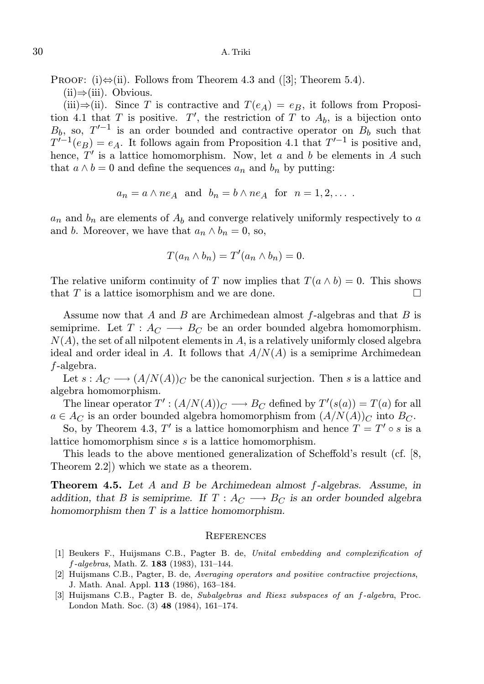PROOF: (i) $\Leftrightarrow$ (ii). Follows from Theorem 4.3 and ([3]; Theorem 5.4).

 $(ii)$ ⇒(iii). Obvious.

(iii)⇒(ii). Since T is contractive and  $T(e_A) = e_B$ , it follows from Proposition 4.1 that T is positive. T', the restriction of T to  $A_b$ , is a bijection onto  $B_b$ , so,  $T'^{-1}$  is an order bounded and contractive operator on  $B_b$  such that  $T^{V-1}(e_B) = e_A$ . It follows again from Proposition 4.1 that  $T'^{-1}$  is positive and, hence,  $T'$  is a lattice homomorphism. Now, let a and b be elements in A such that  $a \wedge b = 0$  and define the sequences  $a_n$  and  $b_n$  by putting:

$$
a_n = a \land ne_A
$$
 and  $b_n = b \land ne_A$  for  $n = 1, 2, ...$ 

 $a_n$  and  $b_n$  are elements of  $A_b$  and converge relatively uniformly respectively to a and b. Moreover, we have that  $a_n \wedge b_n = 0$ , so,

$$
T(a_n \wedge b_n) = T'(a_n \wedge b_n) = 0.
$$

The relative uniform continuity of T now implies that  $T(a \wedge b) = 0$ . This shows that  $T$  is a lattice isomorphism and we are done.

Assume now that A and B are Archimedean almost  $f$ -algebras and that B is semiprime. Let  $T: A_C \longrightarrow B_C$  be an order bounded algebra homomorphism.  $N(A)$ , the set of all nilpotent elements in  $A$ , is a relatively uniformly closed algebra ideal and order ideal in A. It follows that  $A/N(A)$  is a semiprime Archimedean f-algebra.

Let  $s: A_C \longrightarrow (A/N(A))_C$  be the canonical surjection. Then s is a lattice and algebra homomorphism.

The linear operator  $T' : (A/N(A))_C \longrightarrow B_C$  defined by  $T'(s(a)) = T(a)$  for all  $a \in A_C$  is an order bounded algebra homomorphism from  $(A/N(A))_C$  into  $B_C$ .

So, by Theorem 4.3, T' is a lattice homomorphism and hence  $T = T' \circ s$  is a lattice homomorphism since s is a lattice homomorphism.

This leads to the above mentioned generalization of Scheffold's result (cf. [8, Theorem 2.2]) which we state as a theorem.

**Theorem 4.5.** Let A and B be Archimedean almost  $f$ -algebras. Assume, in addition, that B is semiprime. If  $T : A_C \longrightarrow B_C$  is an order bounded algebra homomorphism then T is a lattice homomorphism.

#### **REFERENCES**

- [1] Beukers F., Huijsmans C.B., Pagter B. de, Unital embedding and complexification of  $f$ -algebras, Math. Z. 183 (1983), 131-144.
- [2] Huijsmans C.B., Pagter, B. de, Averaging operators and positive contractive projections, J. Math. Anal. Appl. 113 (1986), 163–184.
- [3] Huijsmans C.B., Pagter B. de, Subalgebras and Riesz subspaces of an f-algebra, Proc. London Math. Soc. (3) 48 (1984), 161–174.